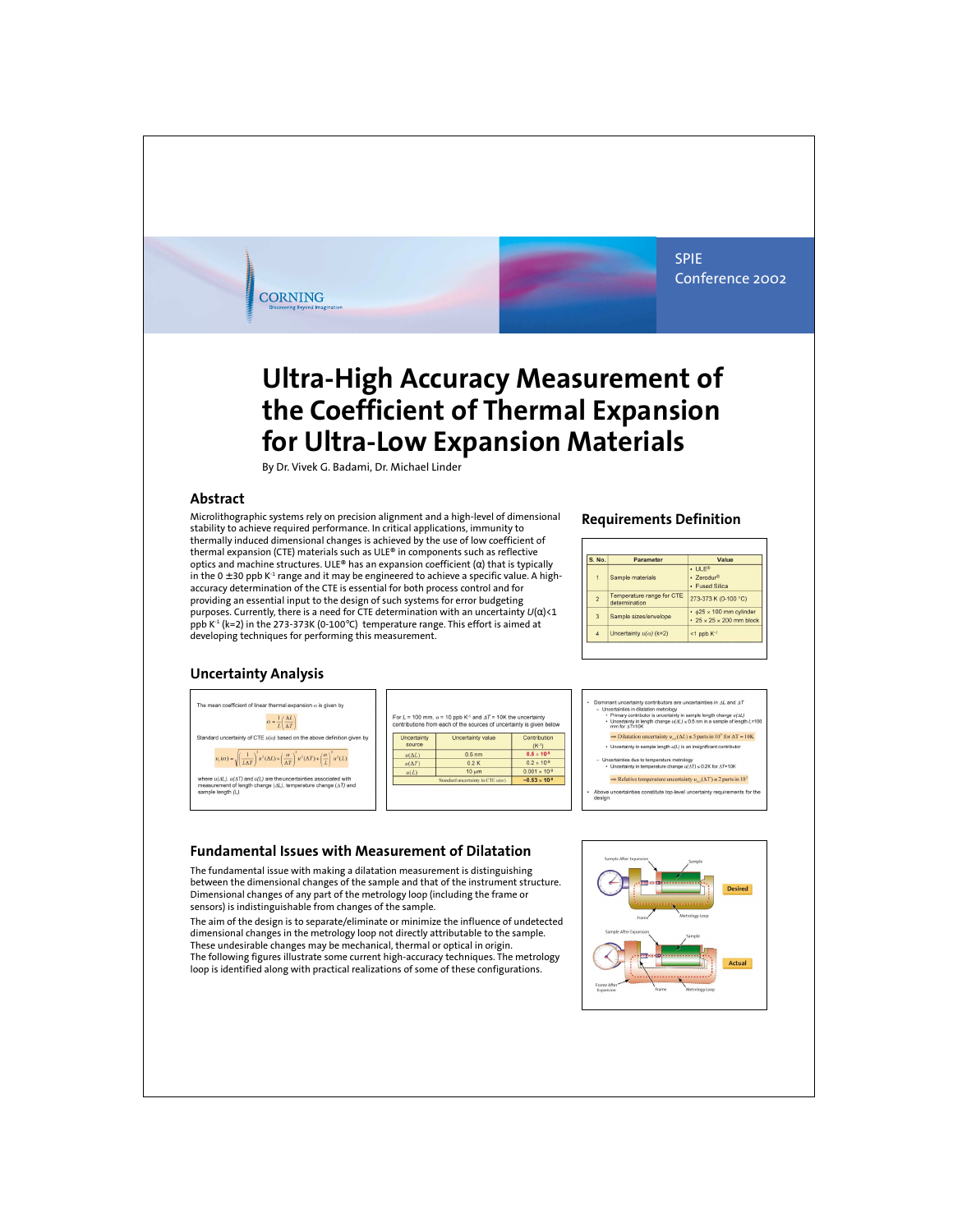SPIE Conference 2002

# **Ultra-High Accuracy Measurement of the Coefficient of Thermal Expansion for Ultra-Low Expansion Materials**

By Dr. Vivek G. Badami, Dr. Michael Linder

#### **Abstract**

Microlithographic systems rely on precision alignment and a high-level of dimensional stability to achieve required performance. In critical applications, immunity to thermally induced dimensional changes is achieved by the use of low coefficient of thermal expansion (CTE) materials such as ULE® in components such as reflective optics and machine structures. ULE® has an expansion coefficient (α) that is typically in the  $0 \pm 30$  ppb K<sup>-1</sup> range and it may be engineered to achieve a specific value. A highaccuracy determination of the CTE is essential for both process control and for providing an essential input to the design of such systems for error budgeting purposes. Currently, there is a need for CTE determination with an uncertainty *U*(α)<1 ppb  $K^1$  (k=2) in the 273-373K (0-100 $\degree$ C) temperature range. This effort is aimed at developing techniques for performing this measurement.

#### **Requirements Definition**

| S. No.         | Parameter                                  | Value                                                                                |  |  |
|----------------|--------------------------------------------|--------------------------------------------------------------------------------------|--|--|
| $\mathbf{1}$   | Sample materials                           | $\cdot$ ULE®<br>$-$ 7 $P$ rodur $^{\circledcirc}$<br>• Fused Silica                  |  |  |
| $\overline{2}$ | Temperature range for CTE<br>determination | 273-373 K (0-100 °C)                                                                 |  |  |
| 3              | Sample sizes/envelope                      | $\cdot$ $625 \times 100$ mm cylinder<br>$\cdot$ 25 $\times$ 25 $\times$ 200 mm block |  |  |
| $\overline{4}$ | Uncertainty $u(\alpha)$ (k=2)              | $<$ 1 ppb $K-1$                                                                      |  |  |

# **Uncertainty Analysis**



**CORNING** 

|                       | contributions from each of the sources of uncertainty is given below |                            |
|-----------------------|----------------------------------------------------------------------|----------------------------|
| Uncertainty<br>SOUTCA | Uncertainty value                                                    | Contribution<br>$(K^{-1})$ |
| $u(\Delta L)$         | 0.5 <sub>nm</sub>                                                    | $0.5 \times 10^{-9}$       |
| $u(\Delta T)$         | 0.2K                                                                 | $0.2 \times 10^{-9}$       |
| u(L)                  | $10 \mu m$                                                           | $0.001 \times 10^{-9}$     |
|                       | Standard uncertainty in CTE $u(\alpha)$                              | $-0.53 \times 10^{-9}$     |



### **Fundamental Issues with Measurement of Dilatation**

The fundamental issue with making a dilatation measurement is distinguishing between the dimensional changes of the sample and that of the instrument structure. Dimensional changes of any part of the metrology loop (including the frame or sensors) is indistinguishable from changes of the sample.

The aim of the design is to separate/eliminate or minimize the influence of undetected dimensional changes in the metrology loop not directly attributable to the sample. These undesirable changes may be mechanical, thermal or optical in origin. The following figures illustrate some current high-accuracy techniques. The metrology loop is identified along with practical realizations of some of these configurations.